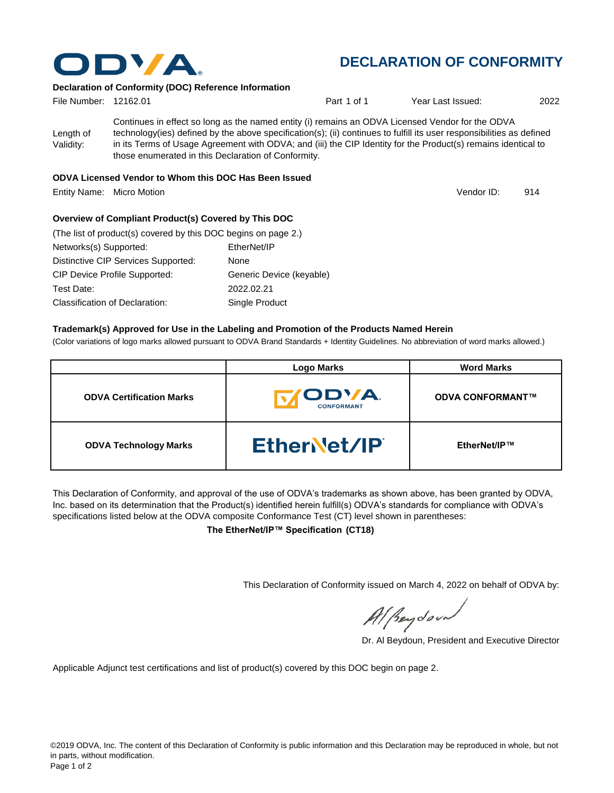

# **DECLARATION OF CONFORMITY**

### **Declaration of Conformity (DOC) Reference Information**

| File Number: 12162.01  |                                                                                                                                                                                                                                                                                                                                                                                                   | Part 1 of 1 | Year Last Issued: | 2022 |
|------------------------|---------------------------------------------------------------------------------------------------------------------------------------------------------------------------------------------------------------------------------------------------------------------------------------------------------------------------------------------------------------------------------------------------|-------------|-------------------|------|
| Length of<br>Validity: | Continues in effect so long as the named entity (i) remains an ODVA Licensed Vendor for the ODVA<br>technology(ies) defined by the above specification(s); (ii) continues to fulfill its user responsibilities as defined<br>in its Terms of Usage Agreement with ODVA; and (iii) the CIP Identity for the Product(s) remains identical to<br>those enumerated in this Declaration of Conformity. |             |                   |      |

#### **ODVA Licensed Vendor to Whom this DOC Has Been Issued**

Entity Name: Micro Motion 914

Vendor ID:

### **Overview of Compliant Product(s) Covered by This DOC**

| (The list of product(s) covered by this DOC begins on page 2.) |                          |  |  |  |
|----------------------------------------------------------------|--------------------------|--|--|--|
| Networks(s) Supported:                                         | EtherNet/IP              |  |  |  |
| Distinctive CIP Services Supported:                            | None                     |  |  |  |
| <b>CIP Device Profile Supported:</b>                           | Generic Device (keyable) |  |  |  |
| Test Date:                                                     | 2022.02.21               |  |  |  |
| Classification of Declaration:                                 | Single Product           |  |  |  |

#### **Trademark(s) Approved for Use in the Labeling and Promotion of the Products Named Herein**

(Color variations of logo marks allowed pursuant to ODVA Brand Standards + Identity Guidelines. No abbreviation of word marks allowed.)

|                                 | <b>Logo Marks</b>                 | <b>Word Marks</b>       |
|---------------------------------|-----------------------------------|-------------------------|
| <b>ODVA Certification Marks</b> | <b>/ODVA</b><br><b>CONFORMANT</b> | <b>ODVA CONFORMANT™</b> |
| <b>ODVA Technology Marks</b>    | EtherNet/IP                       | EtherNet/IP™            |

This Declaration of Conformity, and approval of the use of ODVA's trademarks as shown above, has been granted by ODVA, Inc. based on its determination that the Product(s) identified herein fulfill(s) ODVA's standards for compliance with ODVA's specifications listed below at the ODVA composite Conformance Test (CT) level shown in parentheses:

**The EtherNet/IP™ Specification (CT18)**

This Declaration of Conformity issued on March 4, 2022 on behalf of ODVA by:

Al Beydoor

Dr. Al Beydoun, President and Executive Director

Applicable Adjunct test certifications and list of product(s) covered by this DOC begin on page 2.